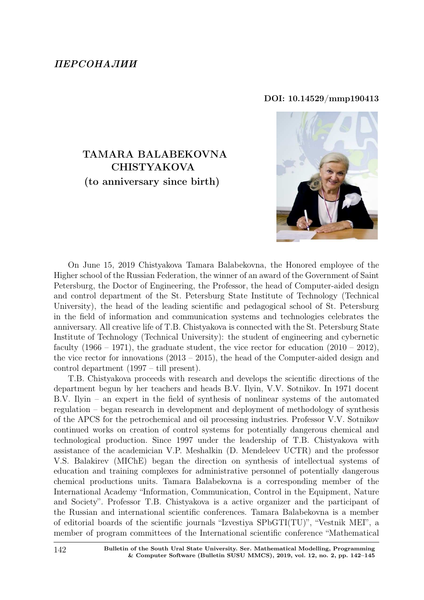### ПЕРСОНАЛИИ

#### DOI: 10.14529/mmp190413

# TAMARA BALABEKOVNA CHISTYAKOVA (to anniversary since birth)



On June 15, 2019 Chistyakova Tamara Balabekovna, the Honored employee of the Higher school of the Russian Federation, the winner of an award of the Government of Saint Petersburg, the Doctor of Engineering, the Professor, the head of Computer-aided design and control department of the St. Petersburg State Institute of Technology (Technical University), the head of the leading scientific and pedagogical school of St. Petersburg in the field of information and communication systems and technologies celebrates the anniversary. All creative life of T.B. Chistyakova is connected with the St. Petersburg State Institute of Technology (Technical University): the student of engineering and cybernetic faculty  $(1966 - 1971)$ , the graduate student, the vice rector for education  $(2010 - 2012)$ , the vice rector for innovations (2013 – 2015), the head of the Computer-aided design and control department (1997 – till present).

T.B. Chistyakova proceeds with research and develops the scientific directions of the department begun by her teachers and heads B.V. Ilyin, V.V. Sotnikov. In 1971 docent B.V. Ilyin – an expert in the field of synthesis of nonlinear systems of the automated regulation – began research in development and deployment of methodology of synthesis of the APCS for the petrochemical and oil processing industries. Professor V.V. Sotnikov continued works on creation of control systems for potentially dangerous chemical and technological production. Since 1997 under the leadership of T.B. Chistyakova with assistance of the academician V.P. Meshalkin (D. Mendeleev UCTR) and the professor V.S. Balakirev (MIChE) began the direction on synthesis of intellectual systems of education and training complexes for administrative personnel of potentially dangerous chemical productions units. Tamara Balabekovna is a corresponding member of the International Academy "Information, Communication, Control in the Equipment, Nature and Society". Professor T.B. Chistyakova is a active organizer and the participant of the Russian and international scientific conferences. Tamara Balabekovna is a member of editorial boards of the scientific journals "Izvestiya SPbGTI(TU)", "Vestnik MEI", a member of program committees of the International scientific conference "Mathematical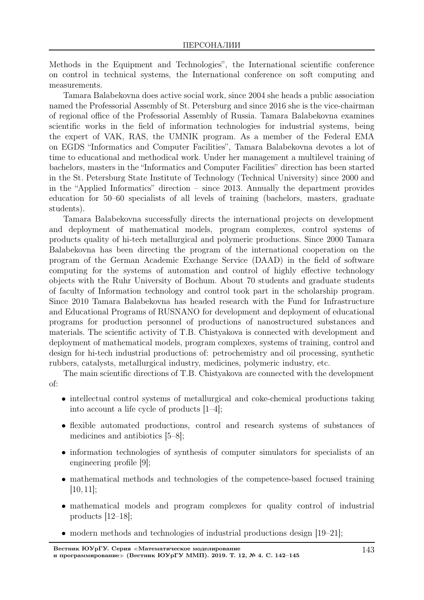Methods in the Equipment and Technologies", the International scientific conference on control in technical systems, the International conference on soft computing and measurements.

Tamara Balabekovna does active social work, since 2004 she heads a public association named the Professorial Assembly of St. Petersburg and since 2016 she is the vice-chairman of regional office of the Professorial Assembly of Russia. Tamara Balabekovna examines scientific works in the field of information technologies for industrial systems, being the expert of VAK, RAS, the UMNIK program. As a member of the Federal EMA on EGDS "Informatics and Computer Facilities", Tamara Balabekovna devotes a lot of time to educational and methodical work. Under her management a multilevel training of bachelors, masters in the "Informatics and Computer Facilities" direction has been started in the St. Petersburg State Institute of Technology (Technical University) since 2000 and in the "Applied Informatics" direction – since 2013. Annually the department provides education for 50–60 specialists of all levels of training (bachelors, masters, graduate students).

Tamara Balabekovna successfully directs the international projects on development and deployment of mathematical models, program complexes, control systems of products quality of hi-tech metallurgical and polymeric productions. Since 2000 Tamara Balabekovna has been directing the program of the international cooperation on the program of the German Academic Exchange Service (DAAD) in the field of software computing for the systems of automation and control of highly effective technology objects with the Ruhr University of Bochum. About 70 students and graduate students of faculty of Information technology and control took part in the scholarship program. Since 2010 Tamara Balabekovna has headed research with the Fund for Infrastructure and Educational Programs of RUSNANO for development and deployment of educational programs for production personnel of productions of nanostructured substances and materials. The scientific activity of T.B. Chistyakova is connected with development and deployment of mathematical models, program complexes, systems of training, control and design for hi-tech industrial productions of: petrochemistry and oil processing, synthetic rubbers, catalysts, metallurgical industry, medicines, polymeric industry, etc.

The main scientific directions of T.B. Chistyakova are connected with the development of:

- intellectual control systems of metallurgical and coke-chemical productions taking into account a life cycle of products [1–4];
- flexible automated productions, control and research systems of substances of medicines and antibiotics [5–8];
- information technologies of synthesis of computer simulators for specialists of an engineering profile [9];
- mathematical methods and technologies of the competence-based focused training  $[10, 11];$
- mathematical models and program complexes for quality control of industrial products [12–18];
- modern methods and technologies of industrial productions design  $(19–21)$ ;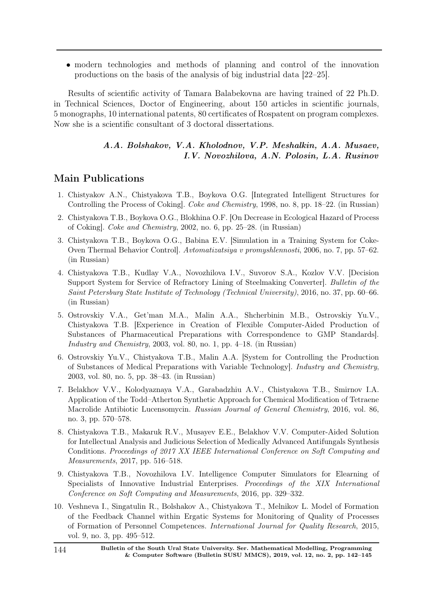• modern technologies and methods of planning and control of the innovation productions on the basis of the analysis of big industrial data [22–25].

Results of scientific activity of Tamara Balabekovna are having trained of 22 Ph.D. in Technical Sciences, Doctor of Engineering, about 150 articles in scientific journals, 5 monographs, 10 international patents, 80 certificates of Rospatent on program complexes. Now she is a scientific consultant of 3 doctoral dissertations.

### A.A. Bolshakov, V.A. Kholodnov, V.P. Meshalkin, A.A. Musaev, I.V. Novozhilova, A.N. Polosin, L.A. Rusinov

## Main Publications

- 1. Chistyakov A.N., Chistyakova T.B., Boykova O.G. [Integrated Intelligent Structures for Controlling the Process of Coking]. Coke and Chemistry, 1998, no. 8, pp. 18–22. (in Russian)
- 2. Chistyakova T.B., Boykova O.G., Blokhina O.F. [On Decrease in Ecological Hazard of Process of Coking]. Coke and Chemistry, 2002, no. 6, pp. 25–28. (in Russian)
- 3. Chistyakova T.B., Boykova O.G., Babina E.V. [Simulation in a Training System for Coke-Oven Thermal Behavior Control]. Avtomatizatsiya v promyshlennosti, 2006, no. 7, pp. 57–62. (in Russian)
- 4. Chistyakova T.B., Kudlay V.A., Novozhilova I.V., Suvorov S.A., Kozlov V.V. [Decision Support System for Service of Refractory Lining of Steelmaking Converter]. Bulletin of the Saint Petersburg State Institute of Technology (Technical University), 2016, no. 37, pp. 60–66. (in Russian)
- 5. Ostrovskiy V.A., Get'man M.A., Malin A.A., Shcherbinin M.B., Ostrovskiy Yu.V., Chistyakova T.B. [Experience in Creation of Flexible Computer-Aided Production of Substances of Pharmaceutical Preparations with Correspondence to GMP Standards]. Industry and Chemistry, 2003, vol. 80, no. 1, pp. 4–18. (in Russian)
- 6. Ostrovskiy Yu.V., Chistyakova T.B., Malin A.A. [System for Controlling the Production of Substances of Medical Preparations with Variable Technology]. Industry and Chemistry, 2003, vol. 80, no. 5, pp. 38–43. (in Russian)
- 7. Belakhov V.V., Kolodyaznaya V.A., Garabadzhiu A.V., Chistyakova T.B., Smirnov I.A. Application of the Todd–Atherton Synthetic Approach for Chemical Modification of Tetraene Macrolide Antibiotic Lucensomycin. Russian Journal of General Chemistry, 2016, vol. 86, no. 3, pp. 570–578.
- 8. Chistyakova T.B., Makaruk R.V., Musayev E.E., Belakhov V.V. Computer-Aided Solution for Intellectual Analysis and Judicious Selection of Medically Advanced Antifungals Synthesis Conditions. Proceedings of 2017 XX IEEE International Conference on Soft Computing and Measurements, 2017, pp. 516–518.
- 9. Chistyakova T.B., Novozhilova I.V. Intelligence Computer Simulators for Elearning of Specialists of Innovative Industrial Enterprises. Proceedings of the XIX International Conference on Soft Computing and Measurements, 2016, pp. 329–332.
- 10. Veshneva I., Singatulin R., Bolshakov A., Chistyakova T., Melnikov L. Model of Formation of the Feedback Channel within Ergatic Systems for Monitoring of Quality of Processes of Formation of Personnel Competences. International Journal for Quality Research, 2015, vol. 9, no. 3, pp. 495–512.